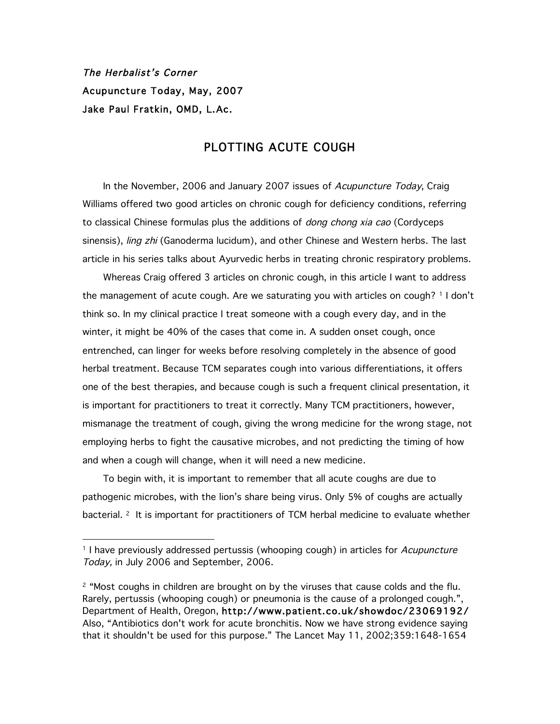The Herbalist's Corner Acupuncture Today, May, 2007 Jake Paul Fratkin, OMD, L.Ac.

-

## PLOTTING ACUTE COUGH

In the November, 2006 and January 2007 issues of Acupuncture Today, Craig Williams offered two good articles on chronic cough for deficiency conditions, referring to classical Chinese formulas plus the additions of *dong chong xia cao* (Cordyceps sinensis), ling zhi (Ganoderma lucidum), and other Chinese and Western herbs. The last article in his series talks about Ayurvedic herbs in treating chronic respiratory problems.

Whereas Craig offered 3 articles on chronic cough, in this article I want to address the management of acute cough. Are we saturating you with articles on cough? <sup>1</sup> I don't think so. In my clinical practice I treat someone with a cough every day, and in the winter, it might be 40% of the cases that come in. A sudden onset cough, once entrenched, can linger for weeks before resolving completely in the absence of good herbal treatment. Because TCM separates cough into various differentiations, it offers one of the best therapies, and because cough is such a frequent clinical presentation, it is important for practitioners to treat it correctly. Many TCM practitioners, however, mismanage the treatment of cough, giving the wrong medicine for the wrong stage, not employing herbs to fight the causative microbes, and not predicting the timing of how and when a cough will change, when it will need a new medicine.

To begin with, it is important to remember that all acute coughs are due to pathogenic microbes, with the lion's share being virus. Only 5% of coughs are actually bacterial. <sup>2</sup> It is important for practitioners of TCM herbal medicine to evaluate whether

<sup>&</sup>lt;sup>1</sup> I have previously addressed pertussis (whooping cough) in articles for Acupuncture Today, in July 2006 and September, 2006.

 $2$  "Most coughs in children are brought on by the viruses that cause colds and the flu. Rarely, pertussis (whooping cough) or pneumonia is the cause of a prolonged cough.", Department of Health, Oregon, http://www.patient.co.uk/showdoc/23069192/ Also, "Antibiotics don't work for acute bronchitis. Now we have strong evidence saying that it shouldn't be used for this purpose." The Lancet May 11, 2002;359:1648-1654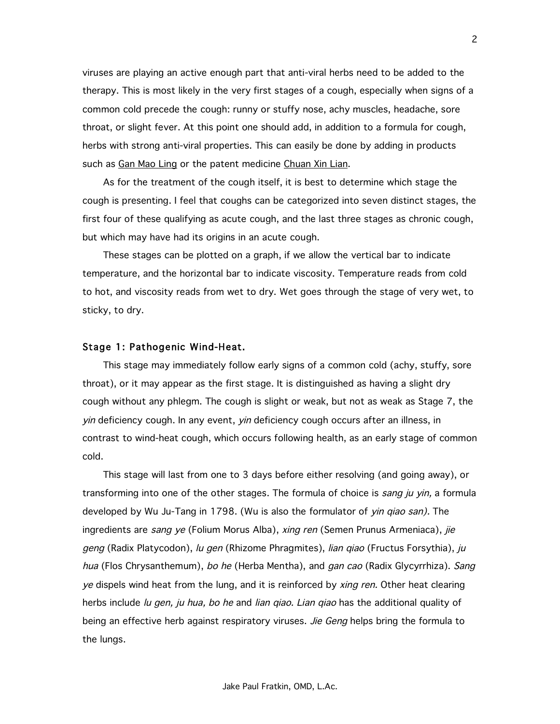viruses are playing an active enough part that anti-viral herbs need to be added to the therapy. This is most likely in the very first stages of a cough, especially when signs of a common cold precede the cough: runny or stuffy nose, achy muscles, headache, sore throat, or slight fever. At this point one should add, in addition to a formula for cough, herbs with strong anti-viral properties. This can easily be done by adding in products such as Gan Mao Ling or the patent medicine Chuan Xin Lian.

As for the treatment of the cough itself, it is best to determine which stage the cough is presenting. I feel that coughs can be categorized into seven distinct stages, the first four of these qualifying as acute cough, and the last three stages as chronic cough, but which may have had its origins in an acute cough.

These stages can be plotted on a graph, if we allow the vertical bar to indicate temperature, and the horizontal bar to indicate viscosity. Temperature reads from cold to hot, and viscosity reads from wet to dry. Wet goes through the stage of very wet, to sticky, to dry.

#### Stage 1: Pathogenic Wind-Heat.

This stage may immediately follow early signs of a common cold (achy, stuffy, sore throat), or it may appear as the first stage. It is distinguished as having a slight dry cough without any phlegm. The cough is slight or weak, but not as weak as Stage 7, the yin deficiency cough. In any event, yin deficiency cough occurs after an illness, in contrast to wind-heat cough, which occurs following health, as an early stage of common cold.

This stage will last from one to 3 days before either resolving (and going away), or transforming into one of the other stages. The formula of choice is sang ju yin, a formula developed by Wu Ju-Tang in 1798. (Wu is also the formulator of yin giao san). The ingredients are sang ye (Folium Morus Alba), xing ren (Semen Prunus Armeniaca), jie geng (Radix Platycodon), lu gen (Rhizome Phragmites), lian qiao (Fructus Forsythia), ju hua (Flos Chrysanthemum), bo he (Herba Mentha), and gan cao (Radix Glycyrrhiza). Sang ye dispels wind heat from the lung, and it is reinforced by *xing ren*. Other heat clearing herbs include *lu gen, ju hua, bo he* and *lian qiao. Lian qiao* has the additional quality of being an effective herb against respiratory viruses. Jie Geng helps bring the formula to the lungs.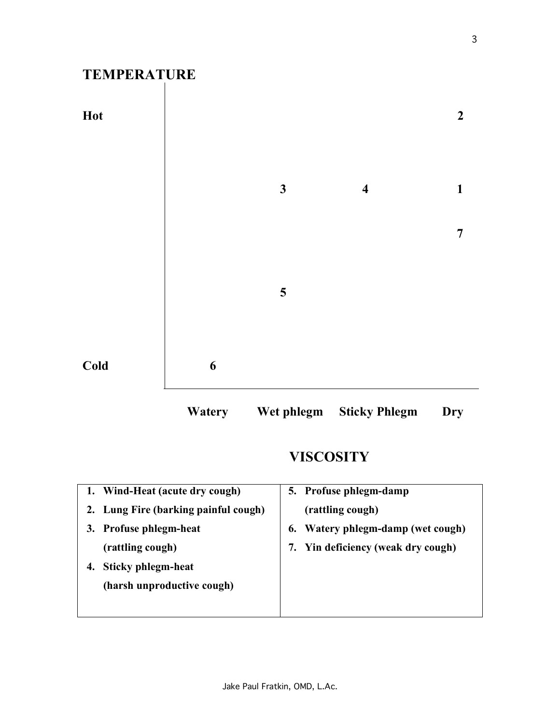# **TEMPERATURE**





# **VISCOSITY**

| 5. Profuse phlegm-damp             |
|------------------------------------|
|                                    |
| 6. Watery phlegm-damp (wet cough)  |
| 7. Yin deficiency (weak dry cough) |
|                                    |
|                                    |
|                                    |
|                                    |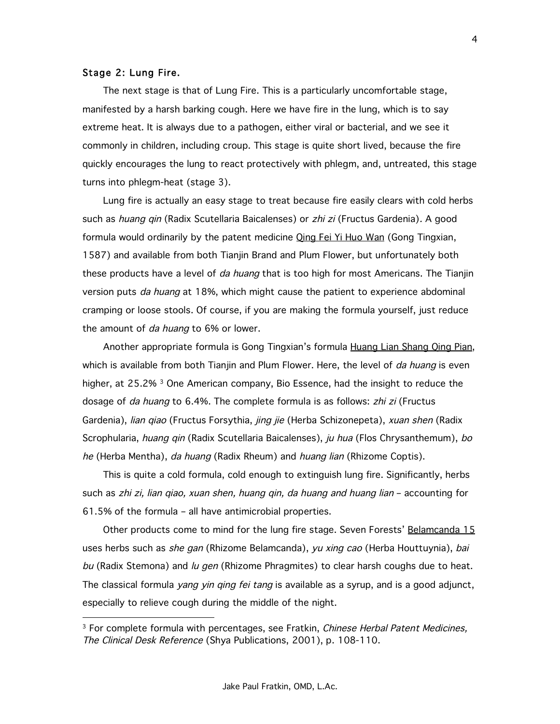#### Stage 2: Lung Fire.

-

The next stage is that of Lung Fire. This is a particularly uncomfortable stage, manifested by a harsh barking cough. Here we have fire in the lung, which is to say extreme heat. It is always due to a pathogen, either viral or bacterial, and we see it commonly in children, including croup. This stage is quite short lived, because the fire quickly encourages the lung to react protectively with phlegm, and, untreated, this stage turns into phlegm-heat (stage 3).

Lung fire is actually an easy stage to treat because fire easily clears with cold herbs such as *huang qin* (Radix Scutellaria Baicalenses) or zhi zi (Fructus Gardenia). A good formula would ordinarily by the patent medicine *Qing Fei Yi Huo Wan* (Gong Tingxian, 1587) and available from both Tianjin Brand and Plum Flower, but unfortunately both these products have a level of *da huang* that is too high for most Americans. The Tianjin version puts *da huang* at 18%, which might cause the patient to experience abdominal cramping or loose stools. Of course, if you are making the formula yourself, just reduce the amount of *da huang* to 6% or lower.

Another appropriate formula is Gong Tingxian's formula **Huang Lian Shang Qing Pian**, which is available from both Tianjin and Plum Flower. Here, the level of da huang is even higher, at 25.2%<sup>3</sup> One American company, Bio Essence, had the insight to reduce the dosage of *da huang* to 6.4%. The complete formula is as follows: *zhi zi* (Fructus Gardenia), *lian qiao* (Fructus Forsythia, *jing jie* (Herba Schizonepeta), *xuan shen* (Radix Scrophularia, huang qin (Radix Scutellaria Baicalenses), ju hua (Flos Chrysanthemum), bo he (Herba Mentha), da huang (Radix Rheum) and huang lian (Rhizome Coptis).

This is quite a cold formula, cold enough to extinguish lung fire. Significantly, herbs such as zhi zi, lian qiao, xuan shen, huang qin, da huang and huang lian – accounting for 61.5% of the formula – all have antimicrobial properties.

Other products come to mind for the lung fire stage. Seven Forests' Belamcanda 15 uses herbs such as *she gan* (Rhizome Belamcanda), yu xing cao (Herba Houttuynia), bai bu (Radix Stemona) and lu gen (Rhizome Phragmites) to clear harsh coughs due to heat. The classical formula *yang yin qing fei tang* is available as a syrup, and is a good adjunct, especially to relieve cough during the middle of the night.

<sup>&</sup>lt;sup>3</sup> For complete formula with percentages, see Fratkin, Chinese Herbal Patent Medicines, The Clinical Desk Reference (Shya Publications, 2001), p. 108-110.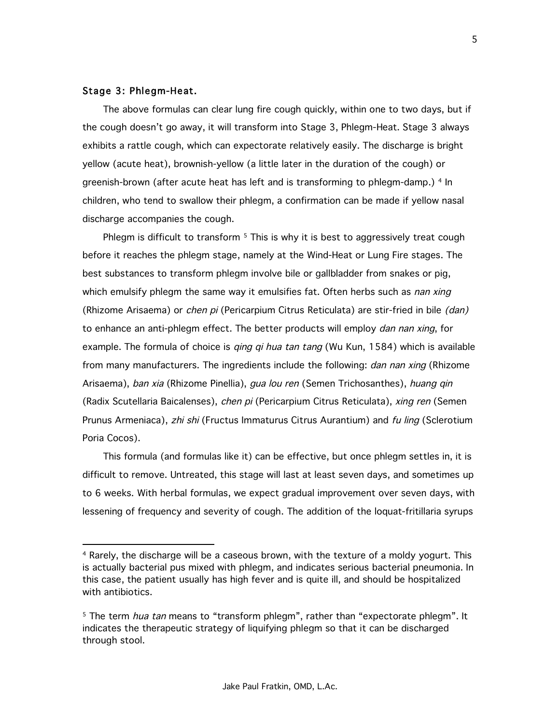### Stage 3: Phlegm-Heat.

-

The above formulas can clear lung fire cough quickly, within one to two days, but if the cough doesn't go away, it will transform into Stage 3, Phlegm-Heat. Stage 3 always exhibits a rattle cough, which can expectorate relatively easily. The discharge is bright yellow (acute heat), brownish-yellow (a little later in the duration of the cough) or greenish-brown (after acute heat has left and is transforming to phlegm-damp.) <sup>4</sup> In children, who tend to swallow their phlegm, a confirmation can be made if yellow nasal discharge accompanies the cough.

Phlegm is difficult to transform <sup>5</sup> This is why it is best to aggressively treat cough before it reaches the phlegm stage, namely at the Wind-Heat or Lung Fire stages. The best substances to transform phlegm involve bile or gallbladder from snakes or pig, which emulsify phlegm the same way it emulsifies fat. Often herbs such as *nan xing* (Rhizome Arisaema) or *chen pi* (Pericarpium Citrus Reticulata) are stir-fried in bile (dan) to enhance an anti-phlegm effect. The better products will employ *dan nan xing*, for example. The formula of choice is *qing qi hua tan tang* (Wu Kun, 1584) which is available from many manufacturers. The ingredients include the following: *dan nan xing* (Rhizome Arisaema), ban xia (Rhizome Pinellia), *qua lou ren* (Semen Trichosanthes), huang qin (Radix Scutellaria Baicalenses), chen pi (Pericarpium Citrus Reticulata), xing ren (Semen Prunus Armeniaca), zhi shi (Fructus Immaturus Citrus Aurantium) and fu ling (Sclerotium Poria Cocos).

This formula (and formulas like it) can be effective, but once phlegm settles in, it is difficult to remove. Untreated, this stage will last at least seven days, and sometimes up to 6 weeks. With herbal formulas, we expect gradual improvement over seven days, with lessening of frequency and severity of cough. The addition of the loquat-fritillaria syrups

<sup>4</sup> Rarely, the discharge will be a caseous brown, with the texture of a moldy yogurt. This is actually bacterial pus mixed with phlegm, and indicates serious bacterial pneumonia. In this case, the patient usually has high fever and is quite ill, and should be hospitalized with antibiotics.

<sup>&</sup>lt;sup>5</sup> The term *hua tan* means to "transform phlegm", rather than "expectorate phlegm". It indicates the therapeutic strategy of liquifying phlegm so that it can be discharged through stool.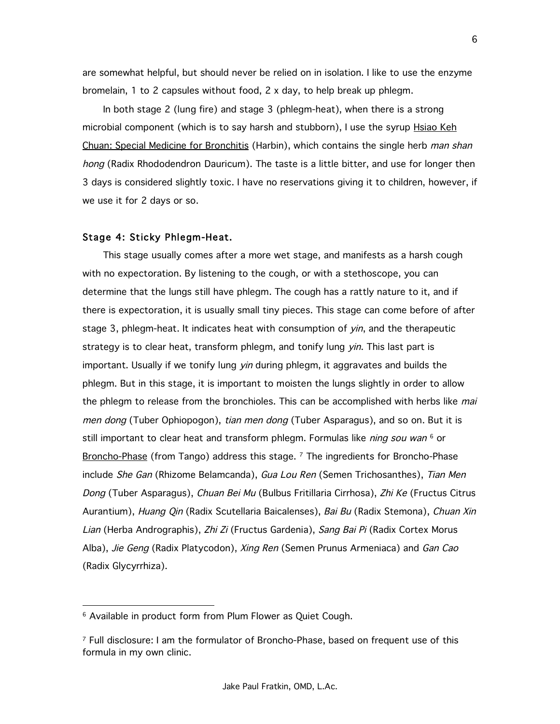are somewhat helpful, but should never be relied on in isolation. I like to use the enzyme bromelain, 1 to 2 capsules without food, 2 x day, to help break up phlegm.

In both stage 2 (lung fire) and stage 3 (phlegm-heat), when there is a strong microbial component (which is to say harsh and stubborn), I use the syrup **Hsiao Keh** Chuan: Special Medicine for Bronchitis (Harbin), which contains the single herb man shan hong (Radix Rhododendron Dauricum). The taste is a little bitter, and use for longer then 3 days is considered slightly toxic. I have no reservations giving it to children, however, if we use it for 2 days or so.

#### Stage 4: Sticky Phlegm-Heat.

This stage usually comes after a more wet stage, and manifests as a harsh cough with no expectoration. By listening to the cough, or with a stethoscope, you can determine that the lungs still have phlegm. The cough has a rattly nature to it, and if there is expectoration, it is usually small tiny pieces. This stage can come before of after stage 3, phlegm-heat. It indicates heat with consumption of *yin*, and the therapeutic strategy is to clear heat, transform phlegm, and tonify lung yin. This last part is important. Usually if we tonify lung *yin* during phlegm, it aggravates and builds the phlegm. But in this stage, it is important to moisten the lungs slightly in order to allow the phlegm to release from the bronchioles. This can be accomplished with herbs like mai men dong (Tuber Ophiopogon), tian men dong (Tuber Asparagus), and so on. But it is still important to clear heat and transform phlegm. Formulas like *ning sou wan* <sup>6</sup> or Broncho-Phase (from Tango) address this stage. <sup>7</sup> The ingredients for Broncho-Phase include She Gan (Rhizome Belamcanda), Gua Lou Ren (Semen Trichosanthes), Tian Men Dong (Tuber Asparagus), Chuan Bei Mu (Bulbus Fritillaria Cirrhosa), Zhi Ke (Fructus Citrus Aurantium), *Huang Qin* (Radix Scutellaria Baicalenses), *Bai Bu* (Radix Stemona), *Chuan Xin* Lian (Herba Andrographis), Zhi Zi (Fructus Gardenia), Sang Bai Pi (Radix Cortex Morus Alba), Jie Geng (Radix Platycodon), Xing Ren (Semen Prunus Armeniaca) and Gan Cao (Radix Glycyrrhiza).

-

<sup>&</sup>lt;sup>6</sup> Available in product form from Plum Flower as Quiet Cough.

 $7$  Full disclosure: I am the formulator of Broncho-Phase, based on frequent use of this formula in my own clinic.